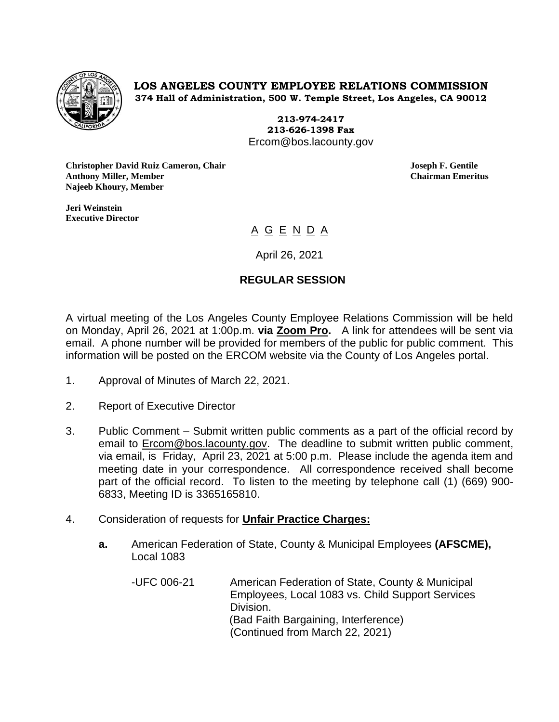

**LOS ANGELES COUNTY EMPLOYEE RELATIONS COMMISSION 374 Hall of Administration, 500 W. Temple Street, Los Angeles, CA 90012**

> **213-974-2417 213-626-1398 Fax** Ercom@bos.lacounty.gov

**Christopher David Ruiz Cameron, Chair Joseph F. Gentile Anthony Miller, Member Chairman Emeritus Najeeb Khoury, Member**

**Jeri Weinstein Executive Director** 

# <u>A G E N D A</u>

April 26, 2021

## **REGULAR SESSION**

A virtual meeting of the Los Angeles County Employee Relations Commission will be held on Monday, April 26, 2021 at 1:00p.m. **via Zoom Pro.** A link for attendees will be sent via email. A phone number will be provided for members of the public for public comment. This information will be posted on the ERCOM website via the County of Los Angeles portal.

- 1. Approval of Minutes of March 22, 2021.
- 2. Report of Executive Director
- 3. Public Comment Submit written public comments as a part of the official record by email to [Ercom@bos.lacounty.gov.](mailto:Ercom@bos.lacounty.gov) The deadline to submit written public comment, via email, is Friday, April 23, 2021 at 5:00 p.m. Please include the agenda item and meeting date in your correspondence. All correspondence received shall become part of the official record. To listen to the meeting by telephone call (1) (669) 900- 6833, Meeting ID is 3365165810.
- 4. Consideration of requests for **Unfair Practice Charges:**
	- **a.** American Federation of State, County & Municipal Employees **(AFSCME),** Local 1083
		- -UFC 006-21 American Federation of State, County & Municipal Employees, Local 1083 vs. Child Support Services Division. (Bad Faith Bargaining, Interference) (Continued from March 22, 2021)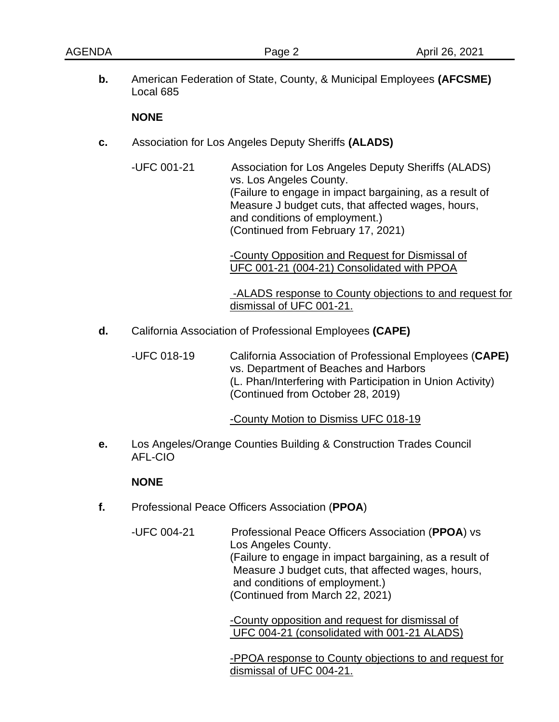**b.** American Federation of State, County, & Municipal Employees **(AFCSME)** Local 685

#### **NONE**

- **c.** Association for Los Angeles Deputy Sheriffs **(ALADS)**
	- -UFC 001-21 Association for Los Angeles Deputy Sheriffs (ALADS) vs. Los Angeles County. (Failure to engage in impact bargaining, as a result of Measure J budget cuts, that affected wages, hours, and conditions of employment.) (Continued from February 17, 2021)

-County Opposition and Request for Dismissal of UFC 001-21 (004-21) Consolidated with PPOA

-ALADS response to County objections to and request for dismissal of UFC 001-21.

**d.** California Association of Professional Employees **(CAPE)**

-UFC 018-19 California Association of Professional Employees (**CAPE)** vs. Department of Beaches and Harbors (L. Phan/Interfering with Participation in Union Activity) (Continued from October 28, 2019)

-County Motion to Dismiss UFC 018-19

**e.** Los Angeles/Orange Counties Building & Construction Trades Council AFL-CIO

### **NONE**

- **f.** Professional Peace Officers Association (**PPOA**)
	- -UFC 004-21 Professional Peace Officers Association (**PPOA**) vs Los Angeles County. (Failure to engage in impact bargaining, as a result of Measure J budget cuts, that affected wages, hours, and conditions of employment.) (Continued from March 22, 2021)

-County opposition and request for dismissal of UFC 004-21 (consolidated with 001-21 ALADS)

-PPOA response to County objections to and request for dismissal of UFC 004-21.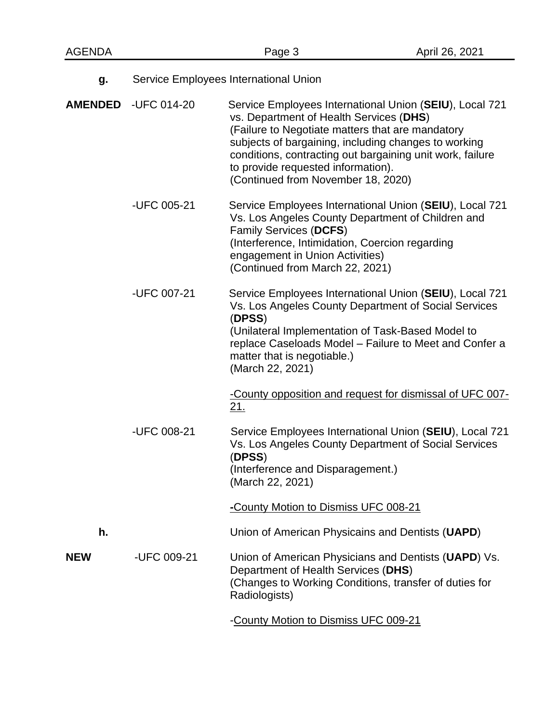| g.         | Service Employees International Union |                                                                                                                                                                                                                                                                                                                                                         |  |
|------------|---------------------------------------|---------------------------------------------------------------------------------------------------------------------------------------------------------------------------------------------------------------------------------------------------------------------------------------------------------------------------------------------------------|--|
|            | AMENDED -UFC 014-20                   | Service Employees International Union (SEIU), Local 721<br>vs. Department of Health Services (DHS)<br>(Failure to Negotiate matters that are mandatory<br>subjects of bargaining, including changes to working<br>conditions, contracting out bargaining unit work, failure<br>to provide requested information).<br>(Continued from November 18, 2020) |  |
|            | -UFC 005-21                           | Service Employees International Union (SEIU), Local 721<br>Vs. Los Angeles County Department of Children and<br><b>Family Services (DCFS)</b><br>(Interference, Intimidation, Coercion regarding<br>engagement in Union Activities)<br>(Continued from March 22, 2021)                                                                                  |  |
|            | -UFC 007-21                           | Service Employees International Union (SEIU), Local 721<br>Vs. Los Angeles County Department of Social Services<br>(DPSS)<br>(Unilateral Implementation of Task-Based Model to<br>replace Caseloads Model - Failure to Meet and Confer a<br>matter that is negotiable.)<br>(March 22, 2021)                                                             |  |
|            | -UFC 008-21                           | -County opposition and request for dismissal of UFC 007-<br>21.<br>Service Employees International Union (SEIU), Local 721<br>Vs. Los Angeles County Department of Social Services<br>(DPSS)<br>(Interference and Disparagement.)<br>(March 22, 2021)                                                                                                   |  |
| h.         |                                       | -County Motion to Dismiss UFC 008-21<br>Union of American Physicains and Dentists (UAPD)                                                                                                                                                                                                                                                                |  |
| <b>NEW</b> | -UFC 009-21                           | Union of American Physicians and Dentists (UAPD) Vs.<br>Department of Health Services (DHS)<br>(Changes to Working Conditions, transfer of duties for<br>Radiologists)                                                                                                                                                                                  |  |
|            |                                       | -County Motion to Dismiss UFC 009-21                                                                                                                                                                                                                                                                                                                    |  |